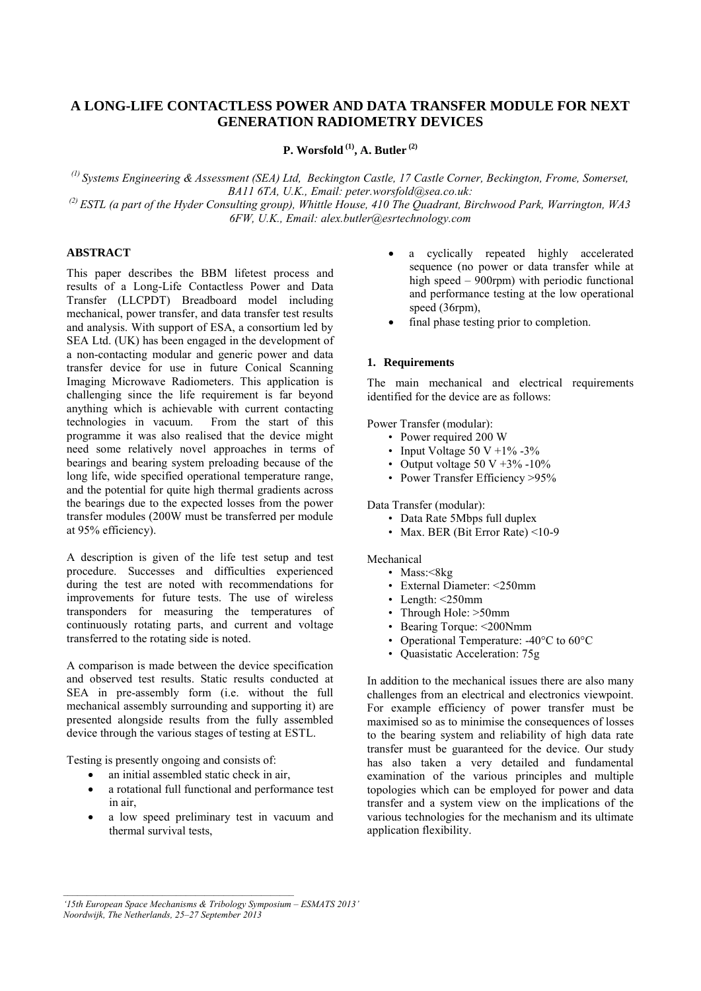# **A LONG-LIFE CONTACTLESS POWER AND DATA TRANSFER MODULE FOR NEXT GENERATION RADIOMETRY DEVICES**

**P. Worsfold (1) , A. Butler (2)**

*(1) Systems Engineering & Assessment (SEA) Ltd, Beckington Castle, 17 Castle Corner, Beckington, Frome, Somerset, BA11 6TA, U.K., Email: peter.worsfold@sea.co.uk:* 

*(2) ESTL (a part of the Hyder Consulting group), Whittle House, 410 The Quadrant, Birchwood Park, Warrington, WA3 6FW, U.K., Email: alex.butler@esrtechnology.com* 

# **ABSTRACT**

This paper describes the BBM lifetest process and results of a Long-Life Contactless Power and Data Transfer (LLCPDT) Breadboard model including mechanical, power transfer, and data transfer test results and analysis. With support of ESA, a consortium led by SEA Ltd. (UK) has been engaged in the development of a non-contacting modular and generic power and data transfer device for use in future Conical Scanning Imaging Microwave Radiometers. This application is challenging since the life requirement is far beyond anything which is achievable with current contacting technologies in vacuum. From the start of this programme it was also realised that the device might need some relatively novel approaches in terms of bearings and bearing system preloading because of the long life, wide specified operational temperature range, and the potential for quite high thermal gradients across the bearings due to the expected losses from the power transfer modules (200W must be transferred per module at 95% efficiency).

A description is given of the life test setup and test procedure. Successes and difficulties experienced during the test are noted with recommendations for improvements for future tests. The use of wireless transponders for measuring the temperatures of continuously rotating parts, and current and voltage transferred to the rotating side is noted.

A comparison is made between the device specification and observed test results. Static results conducted at SEA in pre-assembly form (i.e. without the full mechanical assembly surrounding and supporting it) are presented alongside results from the fully assembled device through the various stages of testing at ESTL.

Testing is presently ongoing and consists of:

- an initial assembled static check in air,
- a rotational full functional and performance test in air,
- a low speed preliminary test in vacuum and thermal survival tests,
- a cyclically repeated highly accelerated sequence (no power or data transfer while at high speed – 900rpm) with periodic functional and performance testing at the low operational speed (36rpm),
- final phase testing prior to completion.

#### **1. Requirements**

The main mechanical and electrical requirements identified for the device are as follows:

Power Transfer (modular):

- Power required 200 W
- Input Voltage  $50 V + 1\% 3\%$
- Output voltage 50 V +3% -10%
- Power Transfer Efficiency >95%

Data Transfer (modular):

- Data Rate 5Mbps full duplex
- Max. BER (Bit Error Rate) <10-9

Mechanical

- Mass:<8kg
- External Diameter: <250mm
- Length: <250mm
- Through Hole: >50mm
- Bearing Torque: <200Nmm
- Operational Temperature: -40°C to 60°C
- Quasistatic Acceleration: 75g

In addition to the mechanical issues there are also many challenges from an electrical and electronics viewpoint. For example efficiency of power transfer must be maximised so as to minimise the consequences of losses to the bearing system and reliability of high data rate transfer must be guaranteed for the device. Our study has also taken a very detailed and fundamental examination of the various principles and multiple topologies which can be employed for power and data transfer and a system view on the implications of the various technologies for the mechanism and its ultimate application flexibility.

*<sup>&#</sup>x27;15th European Space Mechanisms & Tribology Symposium – ESMATS 2013' Noordwijk, The Netherlands, 25–27 September 2013*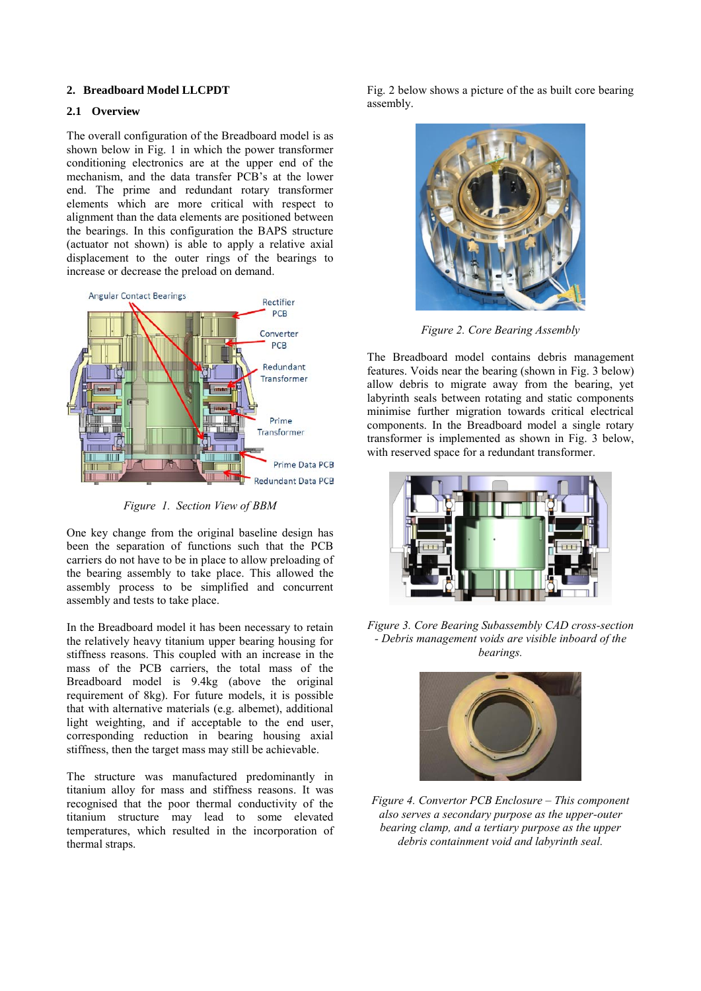### **2. Breadboard Model LLCPDT**

### **2.1 Overview**

The overall configuration of the Breadboard model is as shown below in Fig. 1 in which the power transformer conditioning electronics are at the upper end of the mechanism, and the data transfer PCB's at the lower end. The prime and redundant rotary transformer elements which are more critical with respect to alignment than the data elements are positioned between the bearings. In this configuration the BAPS structure (actuator not shown) is able to apply a relative axial displacement to the outer rings of the bearings to increase or decrease the preload on demand.



*Figure 1. Section View of BBM* 

One key change from the original baseline design has been the separation of functions such that the PCB carriers do not have to be in place to allow preloading of the bearing assembly to take place. This allowed the assembly process to be simplified and concurrent assembly and tests to take place.

In the Breadboard model it has been necessary to retain the relatively heavy titanium upper bearing housing for stiffness reasons. This coupled with an increase in the mass of the PCB carriers, the total mass of the Breadboard model is 9.4kg (above the original requirement of 8kg). For future models, it is possible that with alternative materials (e.g. albemet), additional light weighting, and if acceptable to the end user, corresponding reduction in bearing housing axial stiffness, then the target mass may still be achievable.

The structure was manufactured predominantly in titanium alloy for mass and stiffness reasons. It was recognised that the poor thermal conductivity of the titanium structure may lead to some elevated temperatures, which resulted in the incorporation of thermal straps.

Fig. 2 below shows a picture of the as built core bearing assembly.



*Figure 2. Core Bearing Assembly* 

The Breadboard model contains debris management features. Voids near the bearing (shown in Fig. 3 below) allow debris to migrate away from the bearing, yet labyrinth seals between rotating and static components minimise further migration towards critical electrical components. In the Breadboard model a single rotary transformer is implemented as shown in Fig. 3 below, with reserved space for a redundant transformer.



*Figure 3. Core Bearing Subassembly CAD cross-section - Debris management voids are visible inboard of the bearings.* 



*Figure 4. Convertor PCB Enclosure – This component also serves a secondary purpose as the upper-outer bearing clamp, and a tertiary purpose as the upper debris containment void and labyrinth seal.*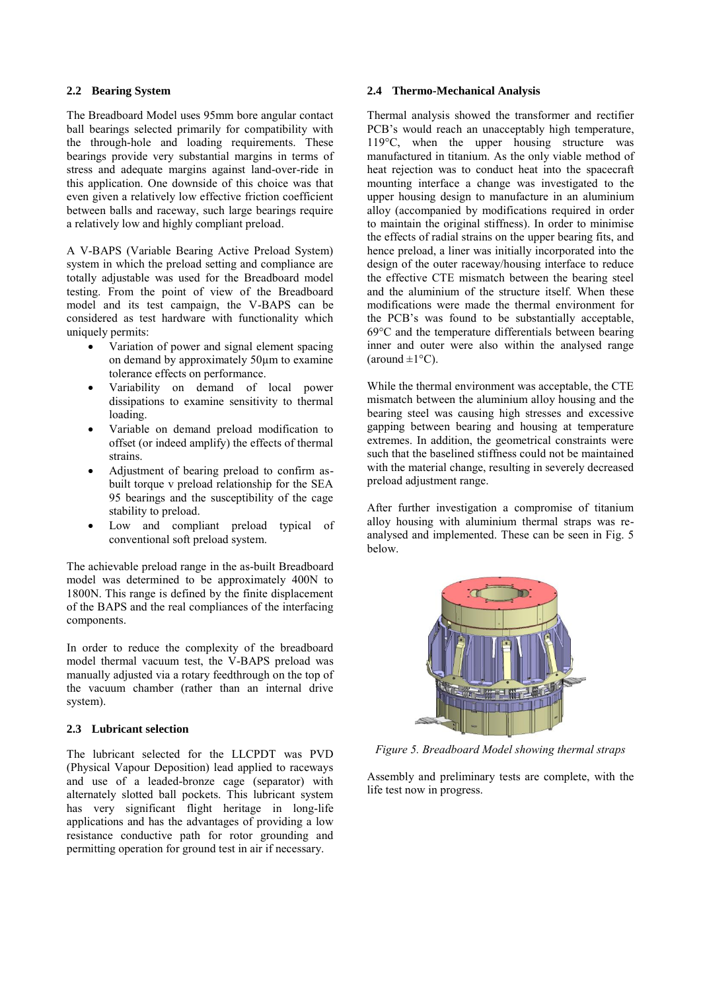### **2.2 Bearing System**

The Breadboard Model uses 95mm bore angular contact ball bearings selected primarily for compatibility with the through-hole and loading requirements. These bearings provide very substantial margins in terms of stress and adequate margins against land-over-ride in this application. One downside of this choice was that even given a relatively low effective friction coefficient between balls and raceway, such large bearings require a relatively low and highly compliant preload.

A V-BAPS (Variable Bearing Active Preload System) system in which the preload setting and compliance are totally adjustable was used for the Breadboard model testing. From the point of view of the Breadboard model and its test campaign, the V-BAPS can be considered as test hardware with functionality which uniquely permits:

- Variation of power and signal element spacing on demand by approximately 50µm to examine tolerance effects on performance.
- Variability on demand of local power dissipations to examine sensitivity to thermal loading.
- Variable on demand preload modification to offset (or indeed amplify) the effects of thermal strains.
- Adjustment of bearing preload to confirm asbuilt torque v preload relationship for the SEA 95 bearings and the susceptibility of the cage stability to preload.
- Low and compliant preload typical of conventional soft preload system.

The achievable preload range in the as-built Breadboard model was determined to be approximately 400N to 1800N. This range is defined by the finite displacement of the BAPS and the real compliances of the interfacing components.

In order to reduce the complexity of the breadboard model thermal vacuum test, the V-BAPS preload was manually adjusted via a rotary feedthrough on the top of the vacuum chamber (rather than an internal drive system).

# **2.3 Lubricant selection**

The lubricant selected for the LLCPDT was PVD (Physical Vapour Deposition) lead applied to raceways and use of a leaded-bronze cage (separator) with alternately slotted ball pockets. This lubricant system has very significant flight heritage in long-life applications and has the advantages of providing a low resistance conductive path for rotor grounding and permitting operation for ground test in air if necessary.

## **2.4 Thermo-Mechanical Analysis**

Thermal analysis showed the transformer and rectifier PCB's would reach an unacceptably high temperature, 119°C, when the upper housing structure was manufactured in titanium. As the only viable method of heat rejection was to conduct heat into the spacecraft mounting interface a change was investigated to the upper housing design to manufacture in an aluminium alloy (accompanied by modifications required in order to maintain the original stiffness). In order to minimise the effects of radial strains on the upper bearing fits, and hence preload, a liner was initially incorporated into the design of the outer raceway/housing interface to reduce the effective CTE mismatch between the bearing steel and the aluminium of the structure itself. When these modifications were made the thermal environment for the PCB's was found to be substantially acceptable, 69°C and the temperature differentials between bearing inner and outer were also within the analysed range (around  $\pm 1^{\circ}$ C).

While the thermal environment was acceptable, the CTE mismatch between the aluminium alloy housing and the bearing steel was causing high stresses and excessive gapping between bearing and housing at temperature extremes. In addition, the geometrical constraints were such that the baselined stiffness could not be maintained with the material change, resulting in severely decreased preload adjustment range.

After further investigation a compromise of titanium alloy housing with aluminium thermal straps was reanalysed and implemented. These can be seen in Fig. 5 below.



*Figure 5. Breadboard Model showing thermal straps* 

Assembly and preliminary tests are complete, with the life test now in progress.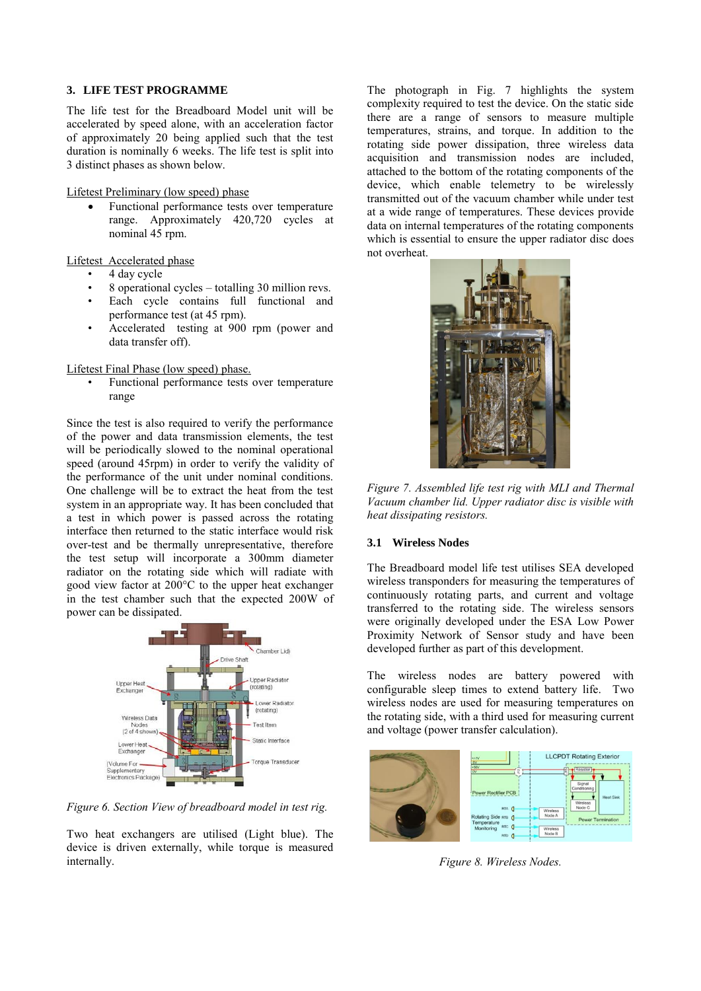## **3. LIFE TEST PROGRAMME**

The life test for the Breadboard Model unit will be accelerated by speed alone, with an acceleration factor of approximately 20 being applied such that the test duration is nominally 6 weeks. The life test is split into 3 distinct phases as shown below.

Lifetest Preliminary (low speed) phase

 Functional performance tests over temperature range. Approximately 420,720 cycles at nominal 45 rpm.

Lifetest Accelerated phase

- 4 day cycle
- 8 operational cycles totalling 30 million revs.
- Each cycle contains full functional and performance test (at 45 rpm).
- Accelerated testing at 900 rpm (power and data transfer off).

Lifetest Final Phase (low speed) phase.

Functional performance tests over temperature range

Since the test is also required to verify the performance of the power and data transmission elements, the test will be periodically slowed to the nominal operational speed (around 45rpm) in order to verify the validity of the performance of the unit under nominal conditions. One challenge will be to extract the heat from the test system in an appropriate way. It has been concluded that a test in which power is passed across the rotating interface then returned to the static interface would risk over-test and be thermally unrepresentative, therefore the test setup will incorporate a 300mm diameter radiator on the rotating side which will radiate with good view factor at 200°C to the upper heat exchanger in the test chamber such that the expected 200W of power can be dissipated.



*Figure 6. Section View of breadboard model in test rig.* 

Two heat exchangers are utilised (Light blue). The device is driven externally, while torque is measured internally.

The photograph in Fig. 7 highlights the system complexity required to test the device. On the static side there are a range of sensors to measure multiple temperatures, strains, and torque. In addition to the rotating side power dissipation, three wireless data acquisition and transmission nodes are included, attached to the bottom of the rotating components of the device, which enable telemetry to be wirelessly transmitted out of the vacuum chamber while under test at a wide range of temperatures. These devices provide data on internal temperatures of the rotating components which is essential to ensure the upper radiator disc does not overheat.



*Figure 7. Assembled life test rig with MLI and Thermal Vacuum chamber lid. Upper radiator disc is visible with heat dissipating resistors.* 

# **3.1 Wireless Nodes**

The Breadboard model life test utilises SEA developed wireless transponders for measuring the temperatures of continuously rotating parts, and current and voltage transferred to the rotating side. The wireless sensors were originally developed under the ESA Low Power Proximity Network of Sensor study and have been developed further as part of this development.

The wireless nodes are battery powered with configurable sleep times to extend battery life. Two wireless nodes are used for measuring temperatures on the rotating side, with a third used for measuring current and voltage (power transfer calculation).



*Figure 8. Wireless Nodes.*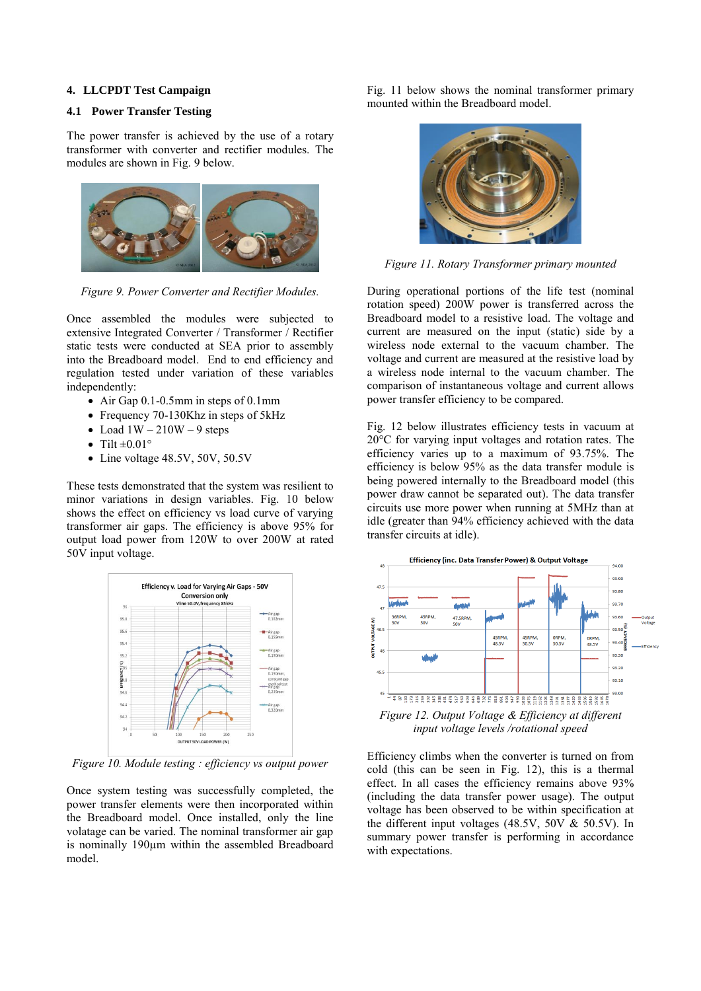## **4. LLCPDT Test Campaign**

## **4.1 Power Transfer Testing**

The power transfer is achieved by the use of a rotary transformer with converter and rectifier modules. The modules are shown in Fig. 9 below.



*Figure 9. Power Converter and Rectifier Modules.*

Once assembled the modules were subjected to extensive Integrated Converter / Transformer / Rectifier static tests were conducted at SEA prior to assembly into the Breadboard model. End to end efficiency and regulation tested under variation of these variables independently:

- Air Gap 0.1-0.5mm in steps of 0.1mm
- Frequency 70-130Khz in steps of 5kHz
- Load  $1W 210W 9$  steps
- Tilt  $\pm 0.01$ °
- Line voltage 48.5V, 50V, 50.5V

These tests demonstrated that the system was resilient to minor variations in design variables. Fig. 10 below shows the effect on efficiency vs load curve of varying transformer air gaps. The efficiency is above 95% for output load power from 120W to over 200W at rated 50V input voltage.



*Figure 10. Module testing : efficiency vs output power*

Once system testing was successfully completed, the power transfer elements were then incorporated within the Breadboard model. Once installed, only the line volatage can be varied. The nominal transformer air gap is nominally 190µm within the assembled Breadboard model.

Fig. 11 below shows the nominal transformer primary mounted within the Breadboard model.



*Figure 11. Rotary Transformer primary mounted*

During operational portions of the life test (nominal rotation speed) 200W power is transferred across the Breadboard model to a resistive load. The voltage and current are measured on the input (static) side by a wireless node external to the vacuum chamber. The voltage and current are measured at the resistive load by a wireless node internal to the vacuum chamber. The comparison of instantaneous voltage and current allows power transfer efficiency to be compared.

Fig. 12 below illustrates efficiency tests in vacuum at 20°C for varying input voltages and rotation rates. The efficiency varies up to a maximum of 93.75%. The efficiency is below 95% as the data transfer module is being powered internally to the Breadboard model (this power draw cannot be separated out). The data transfer circuits use more power when running at 5MHz than at idle (greater than 94% efficiency achieved with the data transfer circuits at idle).



*Figure 12. Output Voltage & Efficiency at different input voltage levels /rotational speed* 

Efficiency climbs when the converter is turned on from cold (this can be seen in Fig. 12), this is a thermal effect. In all cases the efficiency remains above 93% (including the data transfer power usage). The output voltage has been observed to be within specification at the different input voltages (48.5V, 50V & 50.5V). In summary power transfer is performing in accordance with expectations.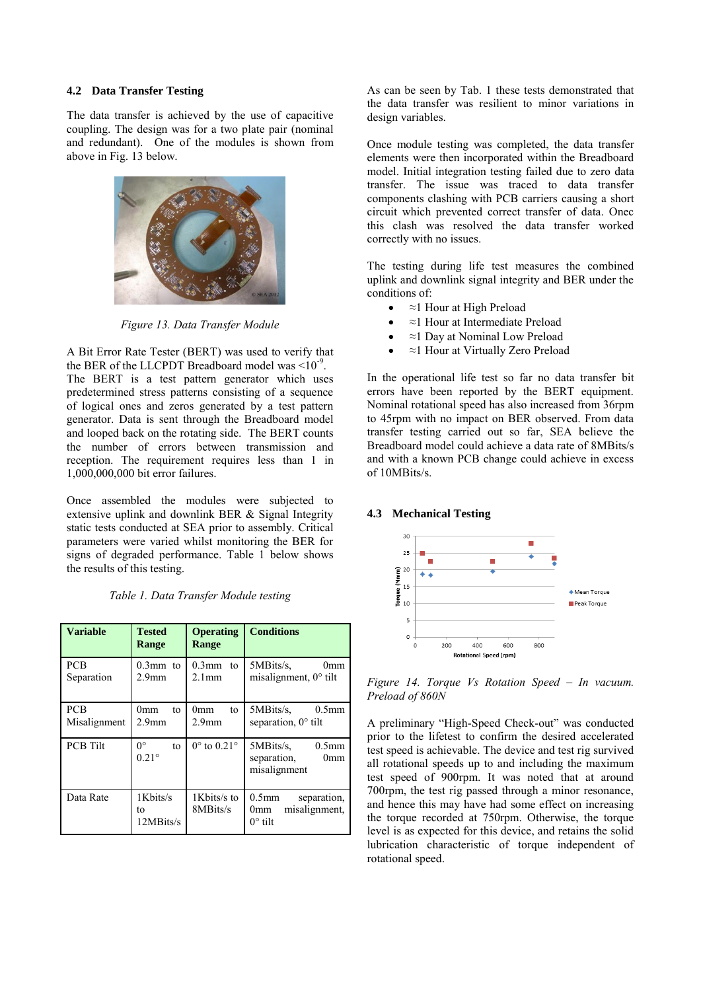#### **4.2 Data Transfer Testing**

The data transfer is achieved by the use of capacitive coupling. The design was for a two plate pair (nominal and redundant). One of the modules is shown from above in Fig. 13 below.



*Figure 13. Data Transfer Module*

A Bit Error Rate Tester (BERT) was used to verify that the BER of the LLCPDT Breadboard model was  $\leq 10^{-9}$ . The BERT is a test pattern generator which uses predetermined stress patterns consisting of a sequence of logical ones and zeros generated by a test pattern generator. Data is sent through the Breadboard model and looped back on the rotating side. The BERT counts the number of errors between transmission and reception. The requirement requires less than 1 in 1,000,000,000 bit error failures.

Once assembled the modules were subjected to extensive uplink and downlink BER & Signal Integrity static tests conducted at SEA prior to assembly. Critical parameters were varied whilst monitoring the BER for signs of degraded performance. Table 1 below shows the results of this testing.

| <b>Variable</b>            | <b>Tested</b><br>Range                     | <b>Operating</b><br>Range      | <b>Conditions</b>                                                                |
|----------------------------|--------------------------------------------|--------------------------------|----------------------------------------------------------------------------------|
| <b>PCB</b><br>Separation   | $0.3$ mm to<br>2.9 <sub>mm</sub>           | $0.3$ mm<br>to<br>$2.1$ mm     | 5MBits/s.<br>0 <sub>mm</sub><br>misalignment, $0^{\circ}$ tilt                   |
| <b>PCB</b><br>Misalignment | to<br>0 <sub>mm</sub><br>2.9 <sub>mm</sub> | to<br>0mm<br>2.9 <sub>mm</sub> | $5MBits/s$ , $0.5mm$<br>separation, $0^\circ$ tilt                               |
| <b>PCB</b> Tilt            | $0^{\circ}$<br>to<br>$0.21^\circ$          | $0^{\circ}$ to $0.21^{\circ}$  | 5MBits/s.<br>0.5 <sub>mm</sub><br>separation,<br>0 <sub>mm</sub><br>misalignment |
| Data Rate                  | 1Kbits/s<br>to<br>12MBits/s                | 1K bits/s to<br>8MBits/s       | $0.5$ mm<br>separation,<br>misalignment.<br>0mm<br>$0^{\circ}$ tilt              |

As can be seen by Tab. 1 these tests demonstrated that the data transfer was resilient to minor variations in design variables.

Once module testing was completed, the data transfer elements were then incorporated within the Breadboard model. Initial integration testing failed due to zero data transfer. The issue was traced to data transfer components clashing with PCB carriers causing a short circuit which prevented correct transfer of data. Onec this clash was resolved the data transfer worked correctly with no issues.

The testing during life test measures the combined uplink and downlink signal integrity and BER under the conditions of:

- $\bullet$  ≈1 Hour at High Preload
- ≈1 Hour at Intermediate Preload
- ≈1 Day at Nominal Low Preload
- ≈1 Hour at Virtually Zero Preload

In the operational life test so far no data transfer bit errors have been reported by the BERT equipment. Nominal rotational speed has also increased from 36rpm to 45rpm with no impact on BER observed. From data transfer testing carried out so far, SEA believe the Breadboard model could achieve a data rate of 8MBits/s and with a known PCB change could achieve in excess of 10MBits/s.

# **4.3 Mechanical Testing**





A preliminary "High-Speed Check-out" was conducted prior to the lifetest to confirm the desired accelerated test speed is achievable. The device and test rig survived all rotational speeds up to and including the maximum test speed of 900rpm. It was noted that at around 700rpm, the test rig passed through a minor resonance, and hence this may have had some effect on increasing the torque recorded at 750rpm. Otherwise, the torque level is as expected for this device, and retains the solid lubrication characteristic of torque independent of rotational speed.